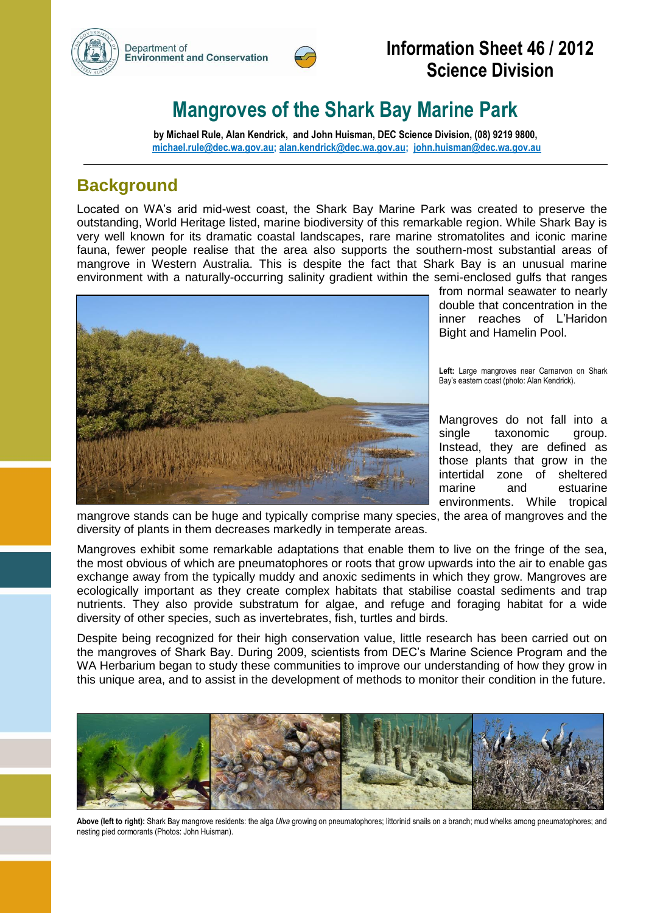



## **Information Sheet 46 / 2012 Science Division**

# **Mangroves of the Shark Bay Marine Park**

**by Michael Rule, Alan Kendrick, and John Huisman, DEC Science Division, (08) 9219 9800, [michael.rule@dec.wa.gov.au;](mailto:michael.rule@dec.wa.gov.au) [alan.kendrick@dec.wa.gov.au;](mailto:alan.kendrick@dec.wa.gov.au) [john.huisman@dec.wa.gov.au](mailto:john.huisman@dec.wa.gov.au)**

### **Background**

Located on WA's arid mid-west coast, the Shark Bay Marine Park was created to preserve the outstanding, World Heritage listed, marine biodiversity of this remarkable region. While Shark Bay is very well known for its dramatic coastal landscapes, rare marine stromatolites and iconic marine fauna, fewer people realise that the area also supports the southern-most substantial areas of mangrove in Western Australia. This is despite the fact that Shark Bay is an unusual marine environment with a naturally-occurring salinity gradient within the semi-enclosed gulfs that ranges



from normal seawater to nearly double that concentration in the inner reaches of L'Haridon Bight and Hamelin Pool.

**Left:** Large mangroves near Carnarvon on Shark Bay's eastern coast (photo: Alan Kendrick).

Mangroves do not fall into a single taxonomic group. Instead, they are defined as those plants that grow in the intertidal zone of sheltered marine and estuarine environments. While tropical

mangrove stands can be huge and typically comprise many species, the area of mangroves and the diversity of plants in them decreases markedly in temperate areas.

Mangroves exhibit some remarkable adaptations that enable them to live on the fringe of the sea, the most obvious of which are pneumatophores or roots that grow upwards into the air to enable gas exchange away from the typically muddy and anoxic sediments in which they grow. Mangroves are ecologically important as they create complex habitats that stabilise coastal sediments and trap nutrients. They also provide substratum for algae, and refuge and foraging habitat for a wide diversity of other species, such as invertebrates, fish, turtles and birds.

Despite being recognized for their high conservation value, little research has been carried out on the mangroves of Shark Bay. During 2009, scientists from DEC's Marine Science Program and the WA Herbarium began to study these communities to improve our understanding of how they grow in this unique area, and to assist in the development of methods to monitor their condition in the future.



**Above (left to right):** Shark Bay mangrove residents: the alga *Ulva* growing on pneumatophores; littorinid snails on a branch; mud whelks among pneumatophores; and nesting pied cormorants (Photos: John Huisman).